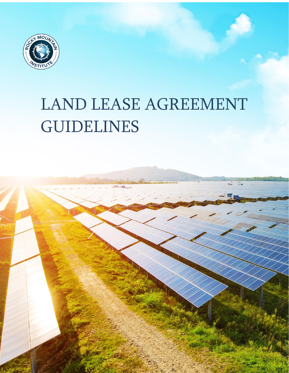

# LAND LEASE AGREEMENT GUIDELINES

LAND LEASE AGREEMENT GUIDELINES 1

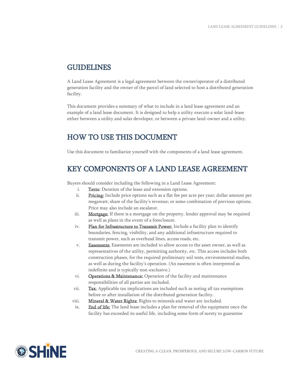#### GUIDELINES

A Land Lease Agreement is a legal agreement between the owner/operator of a distributed generation facility and the owner of the parcel of land selected to host a distributed generation facility.

This document provides a summary of what to include in a land lease agreement and an example of a land lease document. It is designed to help a utility execute a solar land-lease either between a utility and solar developer, or between a private land-owner and a utility.

#### HOW TO USE THIS DOCUMENT

Use this document to familiarize yourself with the components of a land lease agreement.

# KEY COMPONENTS OF A LAND LEASE AGREEMENT

Buyers should consider including the following in a Land Lease Agreement:

- i. Term: Duration of the lease and extension options.
- ii. Pricing: Include price options such as a flat fee per acre per year; dollar amount per megawatt; share of the facility's revenue; or some combination of previous options. Price may also include an escalator.
- iii. Mortgage: If there is a mortgage on the property, lender approval may be required as well as plans in the event of a foreclosure.
- iv. Plan for Infrastructure to Transmit Power: Include a facility plan to identify boundaries, fencing, visibility, and any additional infrastructure required to transmit power, such as overhead lines, access roads, etc.
- v. Easements: Easements are included to allow access to the asset owner, as well as representatives of the utility, permitting authority, etc. This access includes both construction phases, for the required preliminary soil tests, environmental studies, as well as during the facility's operation. (An easement is often interpreted as indefinite and is typically non-exclusive.)
- vi. **Operations & Maintenance:** Operation of the facility and maintenance responsibilities of all parties are included.
- vii. Tax: Applicable tax implications are included such as noting all tax exemptions before or after installation of the distributed generation facility.
- viii. Mineral & Water Rights: Rights to minerals and water are included.
- ix. End of life: The land lease includes a plan for removal of the equipment once the facility has exceeded its useful life, including some form of surety to guarantee